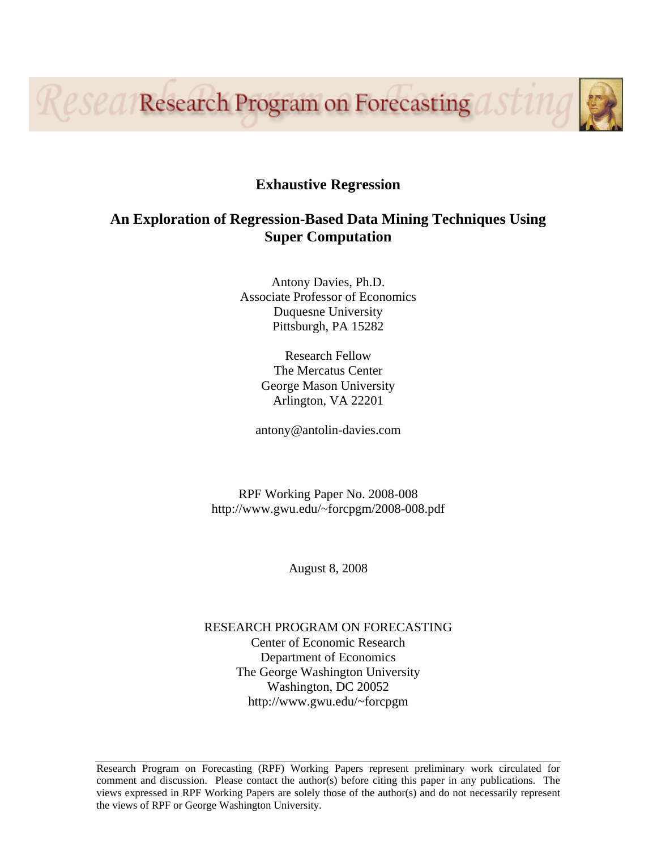Resea Research Program on Forecasting asting



## **An Exploration of Regression-Based Data Mining Techniques Using Super Computation**

Antony Davies, Ph.D. Associate Professor of Economics Duquesne University Pittsburgh, PA 15282

> Research Fellow The Mercatus Center George Mason University Arlington, VA 22201

antony@antolin-davies.com

RPF Working Paper No. 2008-008 http://www.gwu.edu/~forcpgm/2008-008.pdf

August 8, 2008

RESEARCH PROGRAM ON FORECASTING Center of Economic Research Department of Economics The George Washington University Washington, DC 20052 http://www.gwu.edu/~forcpgm

Research Program on Forecasting (RPF) Working Papers represent preliminary work circulated for comment and discussion. Please contact the author(s) before citing this paper in any publications. The views expressed in RPF Working Papers are solely those of the author(s) and do not necessarily represent the views of RPF or George Washington University.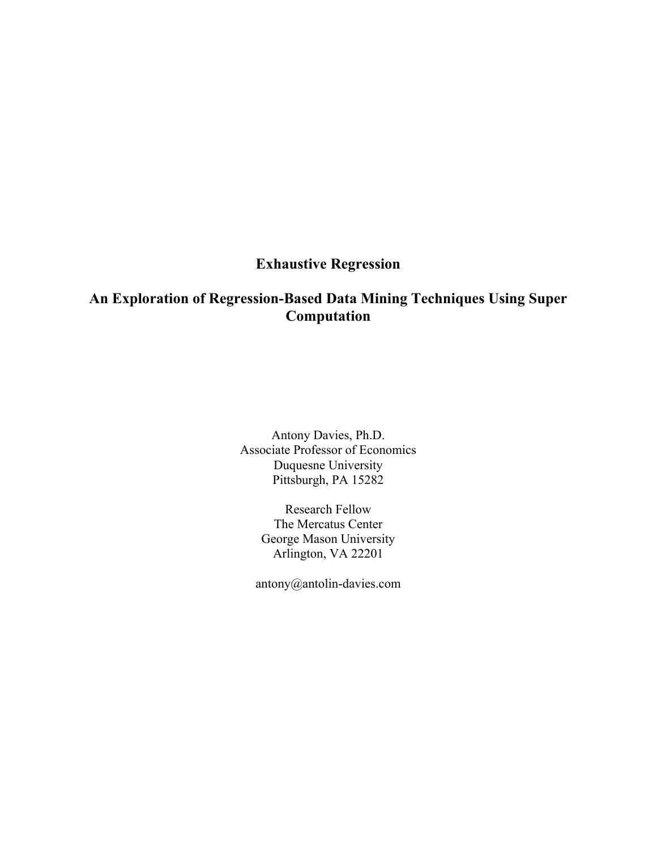# **Exhaustive Regression**

# **An Exploration of Regression-Based Data Mining Techniques Using Super Computation**

Antony Davies, Ph.D. Associate Professor of Economics Duquesne University Pittsburgh, PA 15282

> Research Fellow The Mercatus Center George Mason University Arlington, VA 22201

antony@antolin-davies.com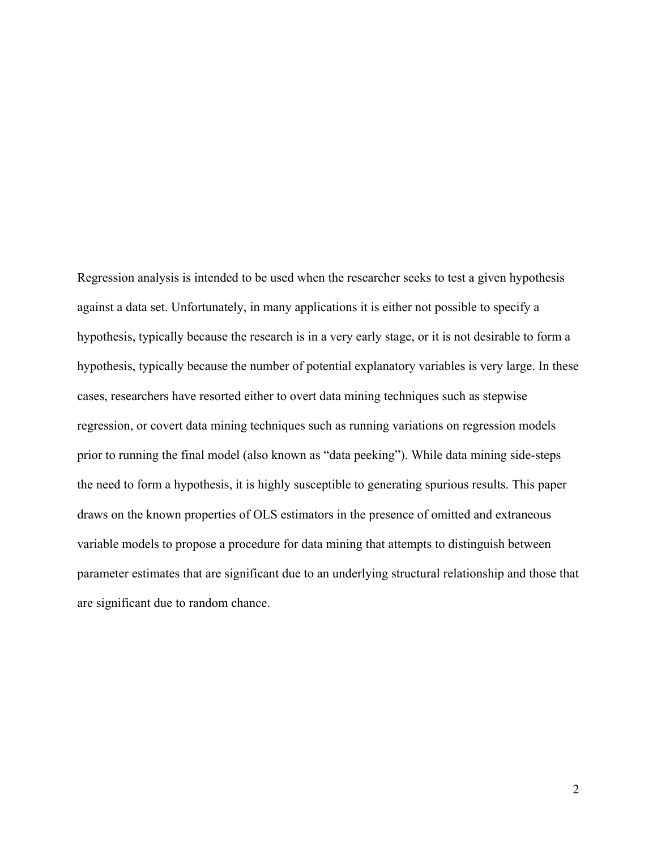Regression analysis is intended to be used when the researcher seeks to test a given hypothesis against a data set. Unfortunately, in many applications it is either not possible to specify a hypothesis, typically because the research is in a very early stage, or it is not desirable to form a hypothesis, typically because the number of potential explanatory variables is very large. In these cases, researchers have resorted either to overt data mining techniques such as stepwise regression, or covert data mining techniques such as running variations on regression models prior to running the final model (also known as "data peeking"). While data mining side-steps the need to form a hypothesis, it is highly susceptible to generating spurious results. This paper draws on the known properties of OLS estimators in the presence of omitted and extraneous variable models to propose a procedure for data mining that attempts to distinguish between parameter estimates that are significant due to an underlying structural relationship and those that are significant due to random chance.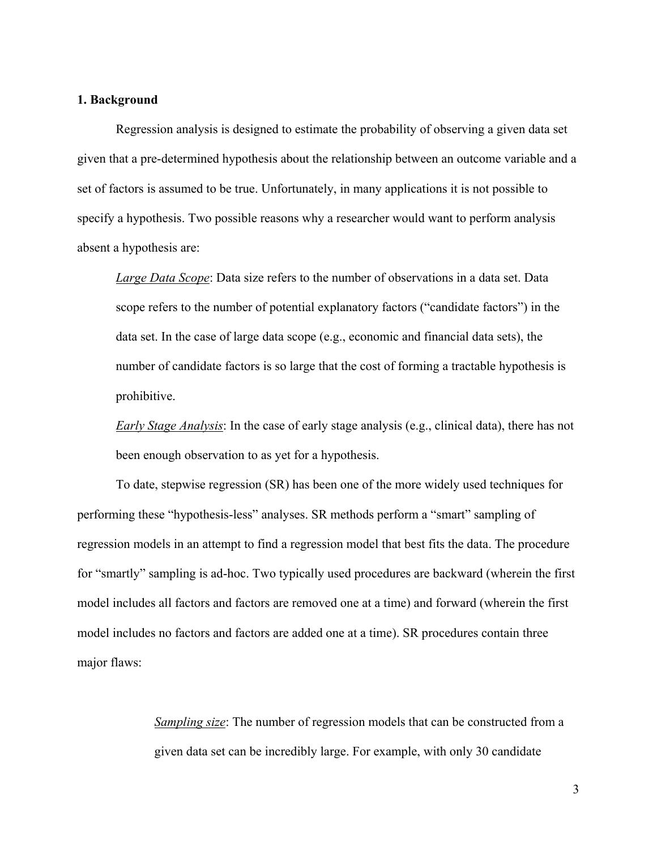### **1. Background**

Regression analysis is designed to estimate the probability of observing a given data set given that a pre-determined hypothesis about the relationship between an outcome variable and a set of factors is assumed to be true. Unfortunately, in many applications it is not possible to specify a hypothesis. Two possible reasons why a researcher would want to perform analysis absent a hypothesis are:

*Large Data Scope*: Data size refers to the number of observations in a data set. Data scope refers to the number of potential explanatory factors ("candidate factors") in the data set. In the case of large data scope (e.g., economic and financial data sets), the number of candidate factors is so large that the cost of forming a tractable hypothesis is prohibitive.

*Early Stage Analysis*: In the case of early stage analysis (e.g., clinical data), there has not been enough observation to as yet for a hypothesis.

To date, stepwise regression (SR) has been one of the more widely used techniques for performing these "hypothesis-less" analyses. SR methods perform a "smart" sampling of regression models in an attempt to find a regression model that best fits the data. The procedure for "smartly" sampling is ad-hoc. Two typically used procedures are backward (wherein the first model includes all factors and factors are removed one at a time) and forward (wherein the first model includes no factors and factors are added one at a time). SR procedures contain three major flaws:

> *Sampling size*: The number of regression models that can be constructed from a given data set can be incredibly large. For example, with only 30 candidate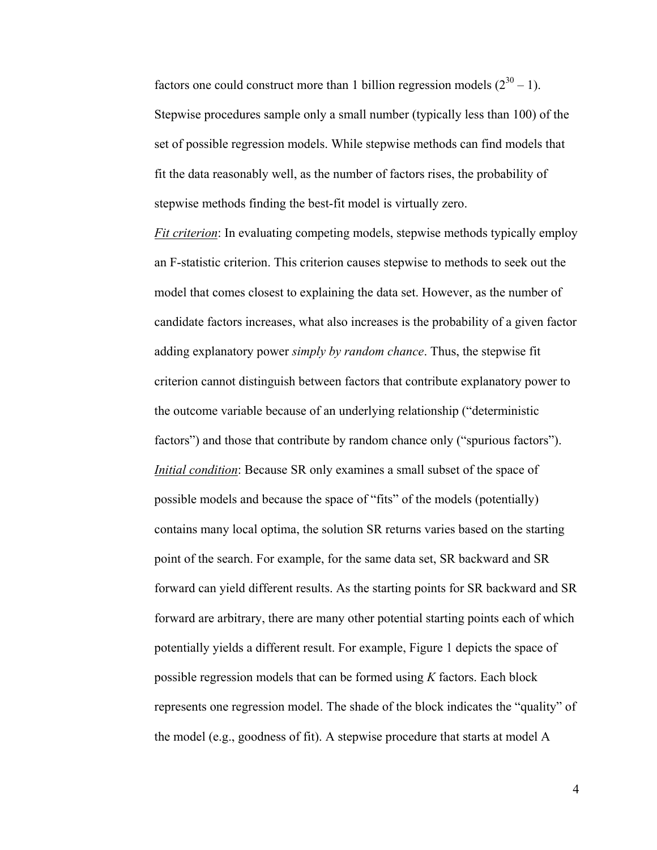factors one could construct more than 1 billion regression models  $(2^{30} – 1)$ . Stepwise procedures sample only a small number (typically less than 100) of the set of possible regression models. While stepwise methods can find models that fit the data reasonably well, as the number of factors rises, the probability of stepwise methods finding the best-fit model is virtually zero.

*Fit criterion*: In evaluating competing models, stepwise methods typically employ an F-statistic criterion. This criterion causes stepwise to methods to seek out the model that comes closest to explaining the data set. However, as the number of candidate factors increases, what also increases is the probability of a given factor adding explanatory power *simply by random chance*. Thus, the stepwise fit criterion cannot distinguish between factors that contribute explanatory power to the outcome variable because of an underlying relationship ("deterministic factors") and those that contribute by random chance only ("spurious factors"). *Initial condition*: Because SR only examines a small subset of the space of possible models and because the space of "fits" of the models (potentially) contains many local optima, the solution SR returns varies based on the starting point of the search. For example, for the same data set, SR backward and SR forward can yield different results. As the starting points for SR backward and SR forward are arbitrary, there are many other potential starting points each of which potentially yields a different result. For example, Figure 1 depicts the space of possible regression models that can be formed using *K* factors. Each block represents one regression model. The shade of the block indicates the "quality" of the model (e.g., goodness of fit). A stepwise procedure that starts at model A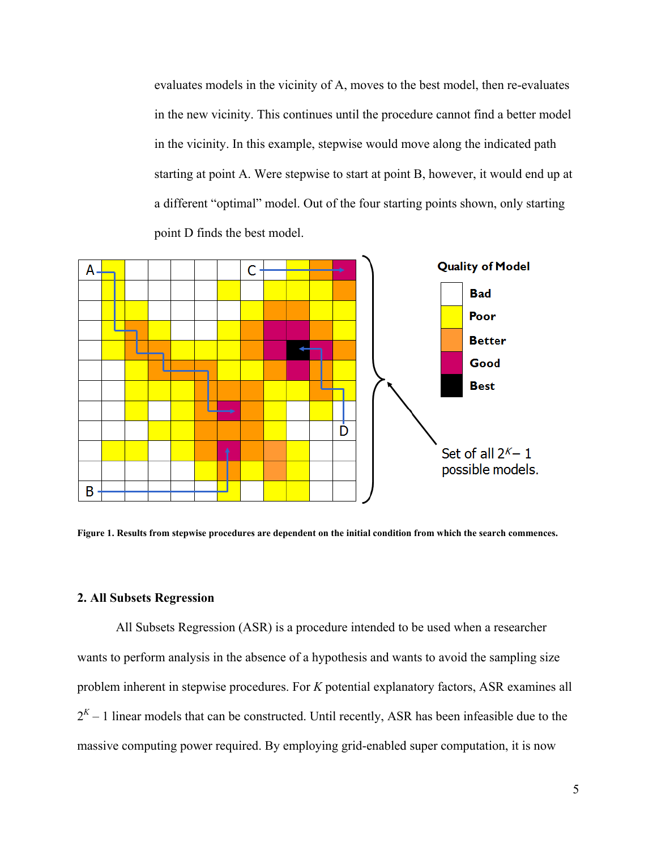evaluates models in the vicinity of A, moves to the best model, then re-evaluates in the new vicinity. This continues until the procedure cannot find a better model in the vicinity. In this example, stepwise would move along the indicated path starting at point A. Were stepwise to start at point B, however, it would end up at a different "optimal" model. Out of the four starting points shown, only starting point D finds the best model.



**Figure 1. Results from stepwise procedures are dependent on the initial condition from which the search commences.** 

## **2. All Subsets Regression**

All Subsets Regression (ASR) is a procedure intended to be used when a researcher wants to perform analysis in the absence of a hypothesis and wants to avoid the sampling size problem inherent in stepwise procedures. For *K* potential explanatory factors, ASR examines all  $2<sup>K</sup> - 1$  linear models that can be constructed. Until recently, ASR has been infeasible due to the massive computing power required. By employing grid-enabled super computation, it is now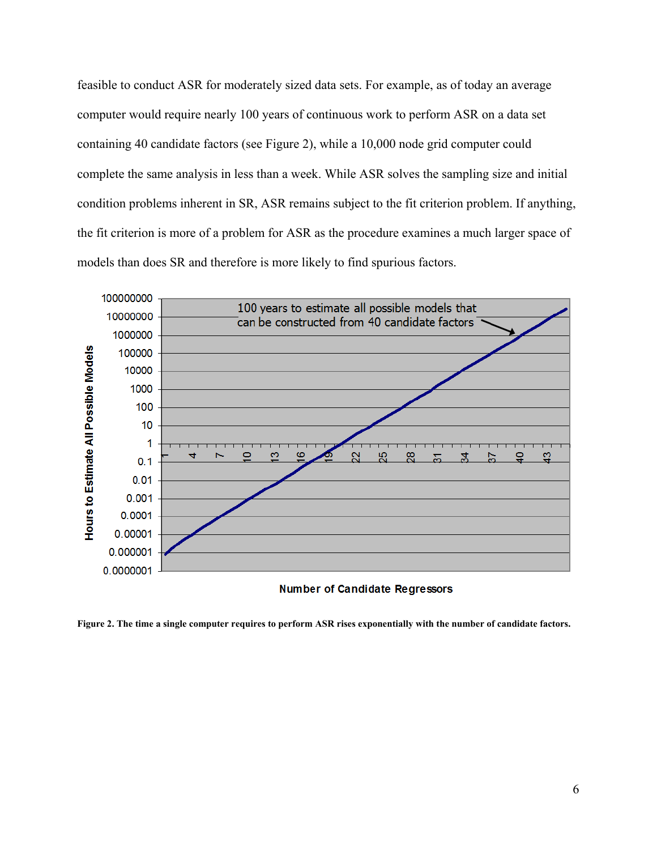feasible to conduct ASR for moderately sized data sets. For example, as of today an average computer would require nearly 100 years of continuous work to perform ASR on a data set containing 40 candidate factors (see Figure 2), while a 10,000 node grid computer could complete the same analysis in less than a week. While ASR solves the sampling size and initial condition problems inherent in SR, ASR remains subject to the fit criterion problem. If anything, the fit criterion is more of a problem for ASR as the procedure examines a much larger space of models than does SR and therefore is more likely to find spurious factors.



**Number of Candidate Regressors** 

**Figure 2. The time a single computer requires to perform ASR rises exponentially with the number of candidate factors.**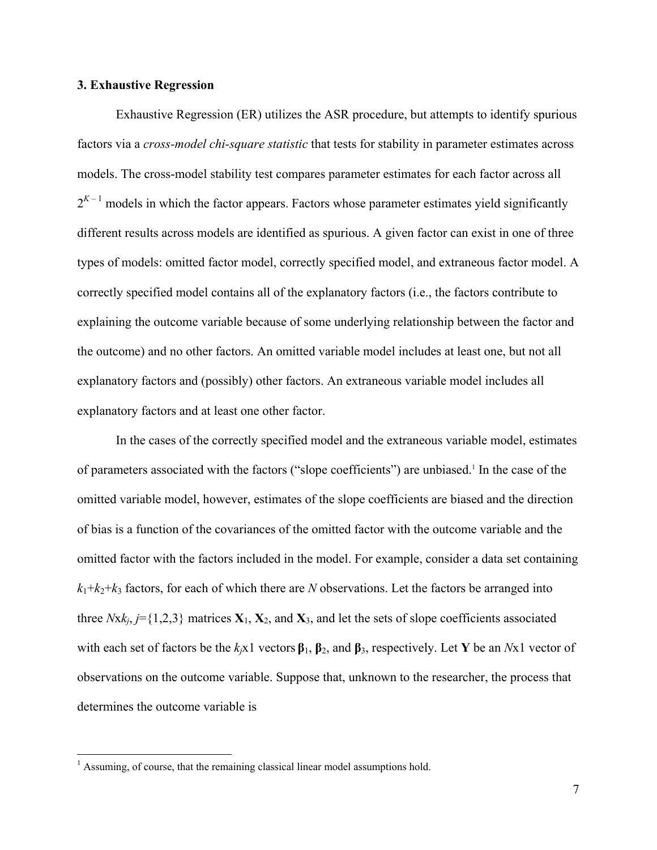### **3. Exhaustive Regression**

Exhaustive Regression (ER) utilizes the ASR procedure, but attempts to identify spurious factors via a *cross-model chi-square statistic* that tests for stability in parameter estimates across models. The cross-model stability test compares parameter estimates for each factor across all  $2^{K-1}$  models in which the factor appears. Factors whose parameter estimates yield significantly different results across models are identified as spurious. A given factor can exist in one of three types of models: omitted factor model, correctly specified model, and extraneous factor model. A correctly specified model contains all of the explanatory factors (i.e., the factors contribute to explaining the outcome variable because of some underlying relationship between the factor and the outcome) and no other factors. An omitted variable model includes at least one, but not all explanatory factors and (possibly) other factors. An extraneous variable model includes all explanatory factors and at least one other factor.

In the cases of the correctly specified model and the extraneous variable model, estimates of parameters associated with the factors ("slope coefficients") are unbiased.<sup>1</sup> In the case of the omitted variable model, however, estimates of the slope coefficients are biased and the direction of bias is a function of the covariances of the omitted factor with the outcome variable and the omitted factor with the factors included in the model. For example, consider a data set containing  $k_1+k_2+k_3$  factors, for each of which there are *N* observations. Let the factors be arranged into three  $Nxk_j$ ,  $j = \{1,2,3\}$  matrices  $X_1, X_2,$  and  $X_3$ , and let the sets of slope coefficients associated with each set of factors be the *kj*x1 vectors **β**1, **β**2, and **β**3, respectively. Let **Y** be an *N*x1 vector of observations on the outcome variable. Suppose that, unknown to the researcher, the process that determines the outcome variable is

 $\overline{a}$ 

<sup>&</sup>lt;sup>1</sup> Assuming, of course, that the remaining classical linear model assumptions hold.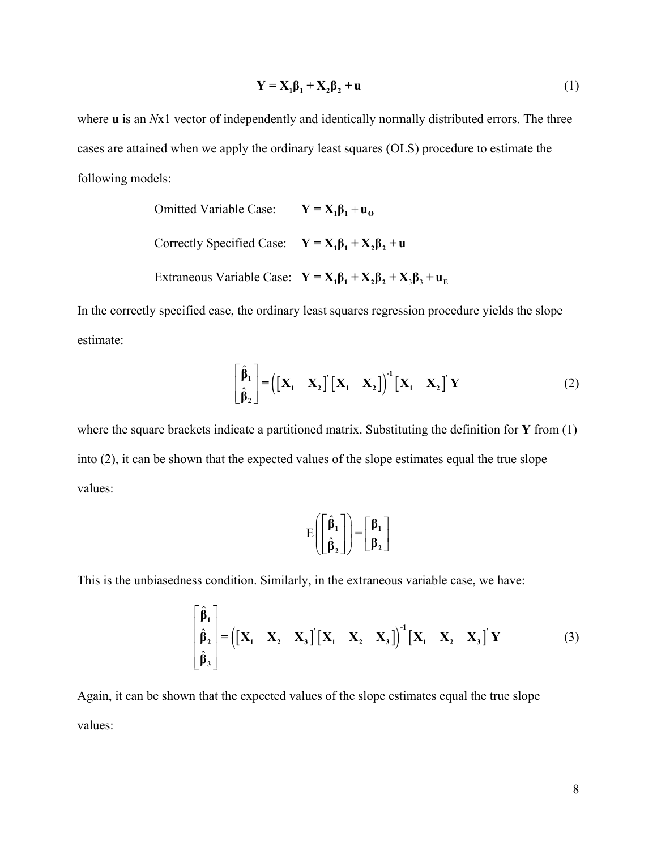$$
\mathbf{Y} = \mathbf{X}_1 \mathbf{\beta}_1 + \mathbf{X}_2 \mathbf{\beta}_2 + \mathbf{u} \tag{1}
$$

where **u** is an *Nx1* vector of independently and identically normally distributed errors. The three cases are attained when we apply the ordinary least squares (OLS) procedure to estimate the following models:

Omitted Variable Case: 
$$
\mathbf{Y} = \mathbf{X}_1 \mathbf{\beta}_1 + \mathbf{u}_0
$$
  
Correctly Specifically Case: 
$$
\mathbf{Y} = \mathbf{X}_1 \mathbf{\beta}_1 + \mathbf{X}_2 \mathbf{\beta}_2 + \mathbf{u}
$$
  
Extaneous Variable Case: 
$$
\mathbf{Y} = \mathbf{X}_1 \mathbf{\beta}_1 + \mathbf{X}_2 \mathbf{\beta}_2 + \mathbf{X}_3 \mathbf{\beta}_3 + \mathbf{u}_E
$$

In the correctly specified case, the ordinary least squares regression procedure yields the slope estimate:

$$
\begin{bmatrix} \hat{\beta}_1 \\ \hat{\beta}_2 \end{bmatrix} = \left( \begin{bmatrix} \mathbf{X}_1 & \mathbf{X}_2 \end{bmatrix} \begin{bmatrix} \mathbf{X}_1 & \mathbf{X}_2 \end{bmatrix} \right)^{-1} \begin{bmatrix} \mathbf{X}_1 & \mathbf{X}_2 \end{bmatrix} \mathbf{Y}
$$
 (2)

where the square brackets indicate a partitioned matrix. Substituting the definition for **Y** from (1) into (2), it can be shown that the expected values of the slope estimates equal the true slope values:

$$
E\left(\begin{bmatrix} \hat{\beta}_1 \\ \hat{\beta}_2 \end{bmatrix}\right) = \begin{bmatrix} \beta_1 \\ \beta_2 \end{bmatrix}
$$

This is the unbiasedness condition. Similarly, in the extraneous variable case, we have:

$$
\begin{bmatrix} \hat{\beta}_1 \\ \hat{\beta}_2 \\ \hat{\beta}_3 \end{bmatrix} = \left( \begin{bmatrix} X_1 & X_2 & X_3 \end{bmatrix} \begin{bmatrix} X_1 & X_2 & X_3 \end{bmatrix} \right)^{-1} \begin{bmatrix} X_1 & X_2 & X_3 \end{bmatrix} Y
$$
(3)

Again, it can be shown that the expected values of the slope estimates equal the true slope values: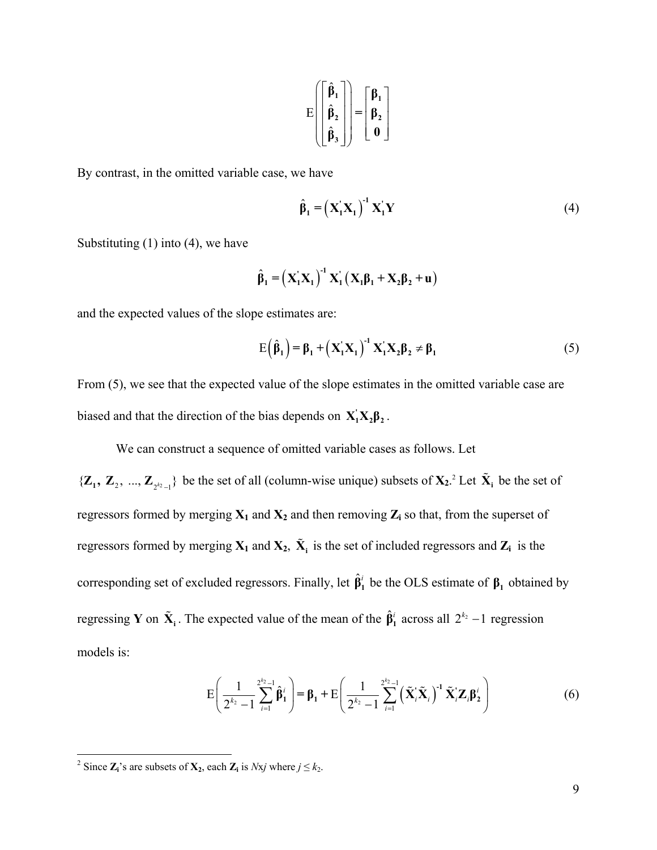$$
E\left(\begin{bmatrix} \hat{\beta}_1 \\ \hat{\beta}_2 \\ \hat{\beta}_3 \end{bmatrix}\right) = \begin{bmatrix} \beta_1 \\ \beta_2 \\ 0 \end{bmatrix}
$$

By contrast, in the omitted variable case, we have

$$
\hat{\beta}_1 = \left(\mathbf{X}_1 \mathbf{X}_1\right)^{-1} \mathbf{X}_1 \mathbf{Y} \tag{4}
$$

Substituting  $(1)$  into  $(4)$ , we have

$$
\hat{\beta}_1 = \left(\mathbf{X}_1'\mathbf{X}_1\right)^{-1}\mathbf{X}_1'\left(\mathbf{X}_1\boldsymbol{\beta}_1 + \mathbf{X}_2\boldsymbol{\beta}_2 + \mathbf{u}\right)
$$

and the expected values of the slope estimates are:

$$
E(\hat{\beta}_1) = \beta_1 + (X_1'X_1)^{-1} X_1'X_2 \beta_2 \neq \beta_1
$$
 (5)

From (5), we see that the expected value of the slope estimates in the omitted variable case are biased and that the direction of the bias depends on  $X_1'X_2\beta_2$ .

We can construct a sequence of omitted variable cases as follows. Let

 $\{Z_1, Z_2, ..., Z_{2^{k_2}-1}\}\)$  be the set of all (column-wise unique) subsets of  $X_2$ .<sup>2</sup> Let  $\tilde{X}_i$  be the set of regressors formed by merging  $X_1$  and  $X_2$  and then removing  $Z_i$  so that, from the superset of regressors formed by merging  $X_1$  and  $X_2$ ,  $\tilde{X}_i$  is the set of included regressors and  $Z_i$  is the corresponding set of excluded regressors. Finally, let  $\hat{\beta}_1^i$  be the OLS estimate of  $\beta_1$  obtained by regressing **Y** on  $\tilde{\mathbf{X}}_i$ . The expected value of the mean of the  $\hat{\beta}_1^i$  across all  $2^{k_2} - 1$  regression models is:

$$
E\left(\frac{1}{2^{k_2}-1}\sum_{i=1}^{2^{k_2}-1}\hat{\boldsymbol{\beta}}_1^{i}\right) = \boldsymbol{\beta}_1 + E\left(\frac{1}{2^{k_2}-1}\sum_{i=1}^{2^{k_2}-1} \left(\tilde{\mathbf{X}}_i^{i}\tilde{\mathbf{X}}_i\right)^{-1}\tilde{\mathbf{X}}_i^{i}\mathbf{Z}_i\boldsymbol{\beta}_2^{i}\right)
$$
(6)

<sup>&</sup>lt;sup>2</sup> Since  $\mathbf{Z}_i$ 's are subsets of  $\mathbf{X}_2$ , each  $\mathbf{Z}_i$  is *Nxj* where  $j \leq k_2$ .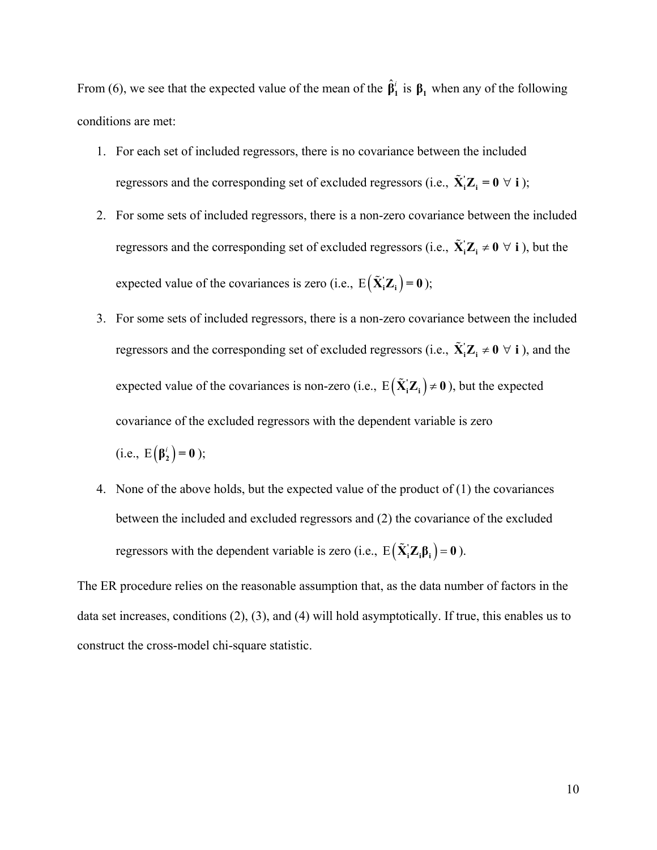From (6), we see that the expected value of the mean of the  $\hat{\beta}_1^i$  is  $\beta_1$  when any of the following conditions are met:

- 1. For each set of included regressors, there is no covariance between the included regressors and the corresponding set of excluded regressors (i.e.,  $\tilde{\mathbf{X}}_i \mathbf{Z}_i = \mathbf{0} \ \forall \ i$ );
- 2. For some sets of included regressors, there is a non-zero covariance between the included regressors and the corresponding set of excluded regressors (i.e.,  $\tilde{\mathbf{X}}_i \mathbf{Z}_i \neq \mathbf{0} \ \forall \ i$ ), but the expected value of the covariances is zero (i.e.,  $E(\tilde{\mathbf{X}}_i \mathbf{Z}_i) = \mathbf{0}$ );
- 3. For some sets of included regressors, there is a non-zero covariance between the included regressors and the corresponding set of excluded regressors (i.e.,  $\tilde{\mathbf{X}}_i \mathbf{Z}_i \neq \mathbf{0} \ \forall \ i$ ), and the expected value of the covariances is non-zero (i.e.,  $E(\tilde{X}_i Z_i) \neq 0$ ), but the expected covariance of the excluded regressors with the dependent variable is zero

(i.e., 
$$
E(\beta_2^i) = 0
$$
);

4. None of the above holds, but the expected value of the product of (1) the covariances between the included and excluded regressors and (2) the covariance of the excluded regressors with the dependent variable is zero (i.e.,  $E(\tilde{\mathbf{X}}_i \mathbf{Z}_i \boldsymbol{\beta}_i) = \mathbf{0}$ ).

The ER procedure relies on the reasonable assumption that, as the data number of factors in the data set increases, conditions (2), (3), and (4) will hold asymptotically. If true, this enables us to construct the cross-model chi-square statistic.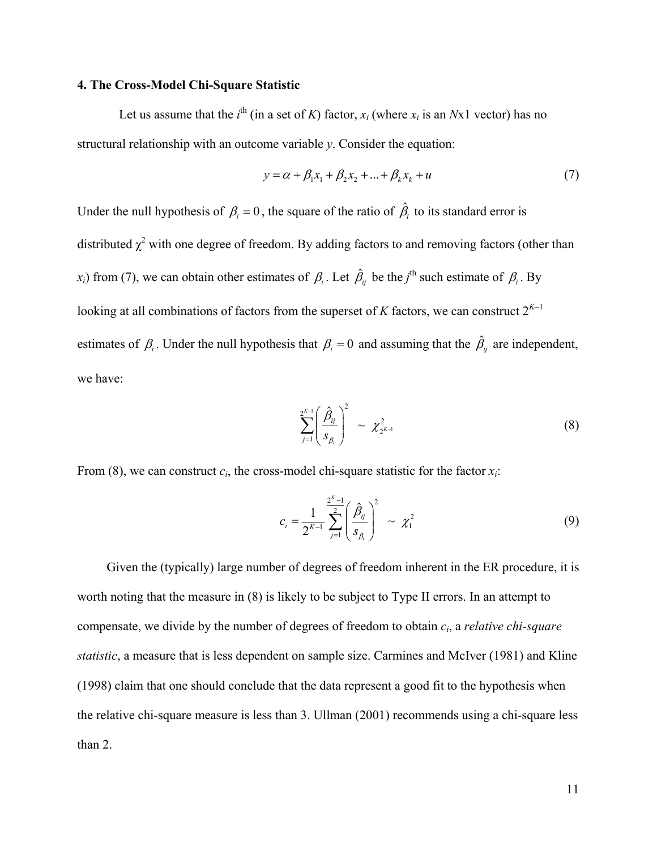### **4. The Cross-Model Chi-Square Statistic**

Let us assume that the  $i^{\text{th}}$  (in a set of *K*) factor,  $x_i$  (where  $x_i$  is an *N*x1 vector) has no structural relationship with an outcome variable *y*. Consider the equation:

$$
y = \alpha + \beta_1 x_1 + \beta_2 x_2 + \dots + \beta_k x_k + u \tag{7}
$$

Under the null hypothesis of  $\beta_i = 0$ , the square of the ratio of  $\hat{\beta}_i$  to its standard error is distributed  $\chi^2$  with one degree of freedom. By adding factors to and removing factors (other than *x<sub>i</sub>*) from (7), we can obtain other estimates of  $\beta_i$ . Let  $\hat{\beta}_i$  be the *j*<sup>th</sup> such estimate of  $\beta_i$ . By looking at all combinations of factors from the superset of *K* factors, we can construct  $2^{K-1}$ estimates of  $\beta_i$ . Under the null hypothesis that  $\beta_i = 0$  and assuming that the  $\hat{\beta}_{ij}$  are independent, we have:

$$
\sum_{j=1}^{2^{K-1}} \left(\frac{\hat{\beta}_{ij}}{s_{\beta_i}}\right)^2 \sim \chi^2_{2^{K-1}}
$$
 (8)

From (8), we can construct  $c_i$ , the cross-model chi-square statistic for the factor  $x_i$ :

$$
c_i = \frac{1}{2^{K-1}} \sum_{j=1}^{2^K-1} \left(\frac{\hat{\beta}_{ij}}{s_{\beta_i}}\right)^2 \sim \chi_1^2
$$
 (9)

 Given the (typically) large number of degrees of freedom inherent in the ER procedure, it is worth noting that the measure in (8) is likely to be subject to Type II errors. In an attempt to compensate, we divide by the number of degrees of freedom to obtain *ci*, a *relative chi-square statistic*, a measure that is less dependent on sample size. Carmines and McIver (1981) and Kline (1998) claim that one should conclude that the data represent a good fit to the hypothesis when the relative chi-square measure is less than 3. Ullman (2001) recommends using a chi-square less than 2.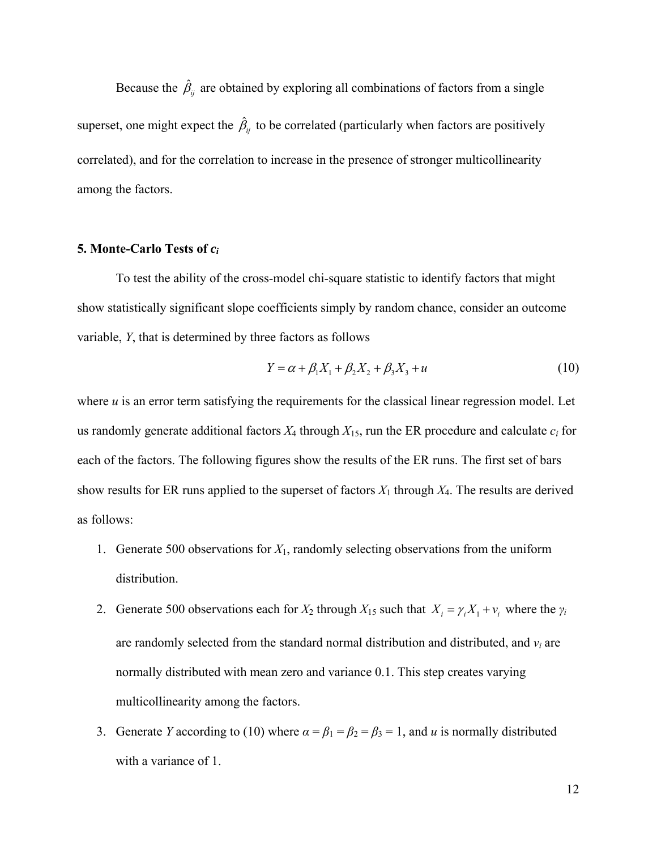Because the  $\hat{\beta}_j$  are obtained by exploring all combinations of factors from a single superset, one might expect the  $\hat{\beta}_{ij}$  to be correlated (particularly when factors are positively correlated), and for the correlation to increase in the presence of stronger multicollinearity among the factors.

### **5. Monte-Carlo Tests of** *ci*

 To test the ability of the cross-model chi-square statistic to identify factors that might show statistically significant slope coefficients simply by random chance, consider an outcome variable, *Y*, that is determined by three factors as follows

$$
Y = \alpha + \beta_1 X_1 + \beta_2 X_2 + \beta_3 X_3 + u \tag{10}
$$

where  $u$  is an error term satisfying the requirements for the classical linear regression model. Let us randomly generate additional factors  $X_4$  through  $X_{15}$ , run the ER procedure and calculate  $c_i$  for each of the factors. The following figures show the results of the ER runs. The first set of bars show results for ER runs applied to the superset of factors *X*1 through *X*4. The results are derived as follows:

- 1. Generate 500 observations for *X*1, randomly selecting observations from the uniform distribution.
- 2. Generate 500 observations each for  $X_2$  through  $X_1$ <sub>5</sub> such that  $X_i = \gamma_i X_1 + \gamma_i$  where the  $\gamma_i$ are randomly selected from the standard normal distribution and distributed, and *vi* are normally distributed with mean zero and variance 0.1. This step creates varying multicollinearity among the factors.
- 3. Generate *Y* according to (10) where  $\alpha = \beta_1 = \beta_2 = \beta_3 = 1$ , and *u* is normally distributed with a variance of 1.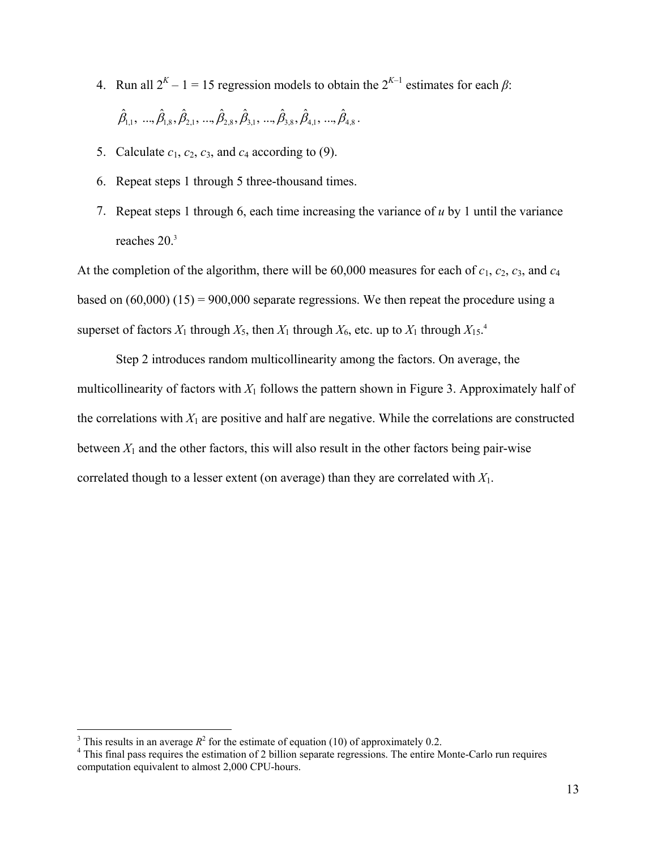4. Run all  $2^{K} - 1 = 15$  regression models to obtain the  $2^{K-1}$  estimates for each  $\beta$ :

 $\hat{\beta}_{1,1}, \dots, \hat{\beta}_{1,8}, \hat{\beta}_{2,1}, \dots, \hat{\beta}_{2,8}, \hat{\beta}_{3,1}, \dots, \hat{\beta}_{3,8}, \hat{\beta}_{4,1}, \dots, \hat{\beta}_{4,8}$ .

- 5. Calculate  $c_1$ ,  $c_2$ ,  $c_3$ , and  $c_4$  according to (9).
- 6. Repeat steps 1 through 5 three-thousand times.
- 7. Repeat steps 1 through 6, each time increasing the variance of *u* by 1 until the variance reaches 20.<sup>3</sup>

At the completion of the algorithm, there will be 60,000 measures for each of *c*1, *c*2, *c*3, and *c*<sup>4</sup> based on  $(60,000)$   $(15) = 900,000$  separate regressions. We then repeat the procedure using a superset of factors  $X_1$  through  $X_5$ , then  $X_1$  through  $X_6$ , etc. up to  $X_1$  through  $X_{15}$ .<sup>4</sup>

 Step 2 introduces random multicollinearity among the factors. On average, the multicollinearity of factors with  $X_1$  follows the pattern shown in Figure 3. Approximately half of the correlations with  $X_1$  are positive and half are negative. While the correlations are constructed between  $X_1$  and the other factors, this will also result in the other factors being pair-wise correlated though to a lesser extent (on average) than they are correlated with *X*1.

<sup>&</sup>lt;sup>3</sup> This results in an average  $R^2$  for the estimate of equation (10) of approximately 0.2.  $4$  This final ness requires the estimation of 2 billion separate regressions. The entire M

<sup>&</sup>lt;sup>4</sup> This final pass requires the estimation of 2 billion separate regressions. The entire Monte-Carlo run requires computation equivalent to almost 2,000 CPU-hours.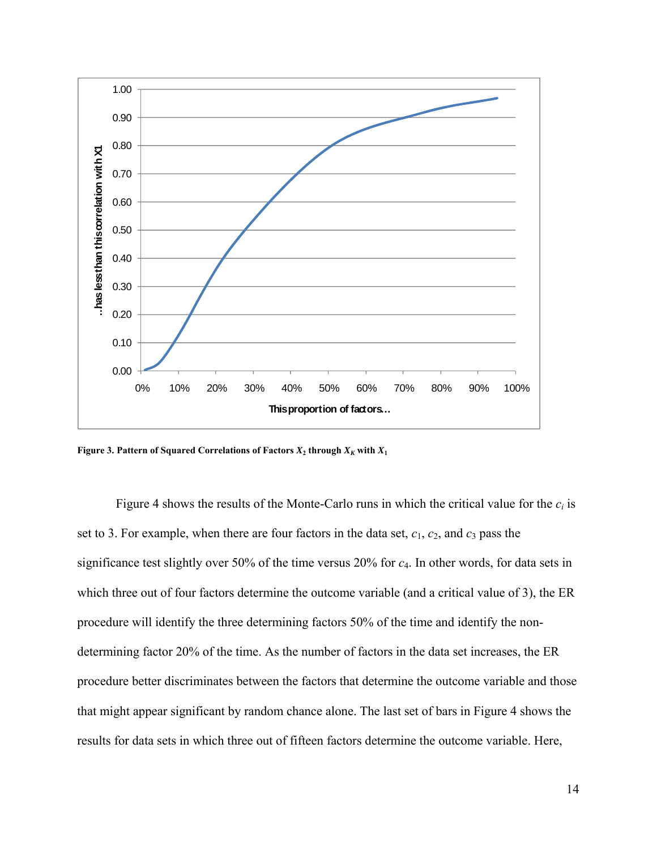

**Figure 3. Pattern of Squared Correlations of Factors**  $X_2$  **through**  $X_K$  **with**  $X_1$ 

Figure 4 shows the results of the Monte-Carlo runs in which the critical value for the  $c_i$  is set to 3. For example, when there are four factors in the data set, *c*1, *c*2, and *c*3 pass the significance test slightly over 50% of the time versus 20% for *c*4. In other words, for data sets in which three out of four factors determine the outcome variable (and a critical value of 3), the ER procedure will identify the three determining factors 50% of the time and identify the nondetermining factor 20% of the time. As the number of factors in the data set increases, the ER procedure better discriminates between the factors that determine the outcome variable and those that might appear significant by random chance alone. The last set of bars in Figure 4 shows the results for data sets in which three out of fifteen factors determine the outcome variable. Here,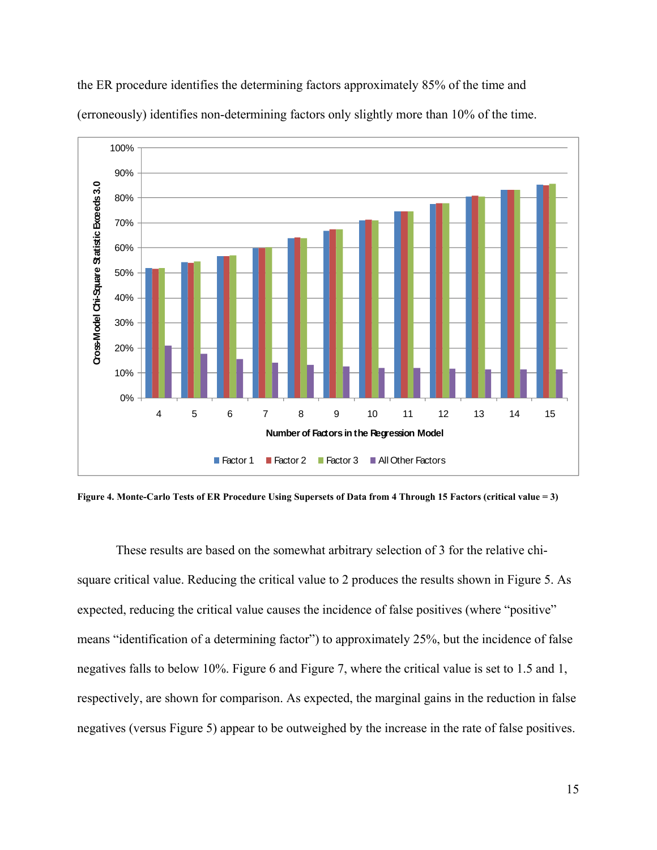

the ER procedure identifies the determining factors approximately 85% of the time and (erroneously) identifies non-determining factors only slightly more than 10% of the time.

**Figure 4. Monte-Carlo Tests of ER Procedure Using Supersets of Data from 4 Through 15 Factors (critical value = 3)** 

 These results are based on the somewhat arbitrary selection of 3 for the relative chisquare critical value. Reducing the critical value to 2 produces the results shown in Figure 5. As expected, reducing the critical value causes the incidence of false positives (where "positive" means "identification of a determining factor") to approximately 25%, but the incidence of false negatives falls to below 10%. Figure 6 and Figure 7, where the critical value is set to 1.5 and 1, respectively, are shown for comparison. As expected, the marginal gains in the reduction in false negatives (versus Figure 5) appear to be outweighed by the increase in the rate of false positives.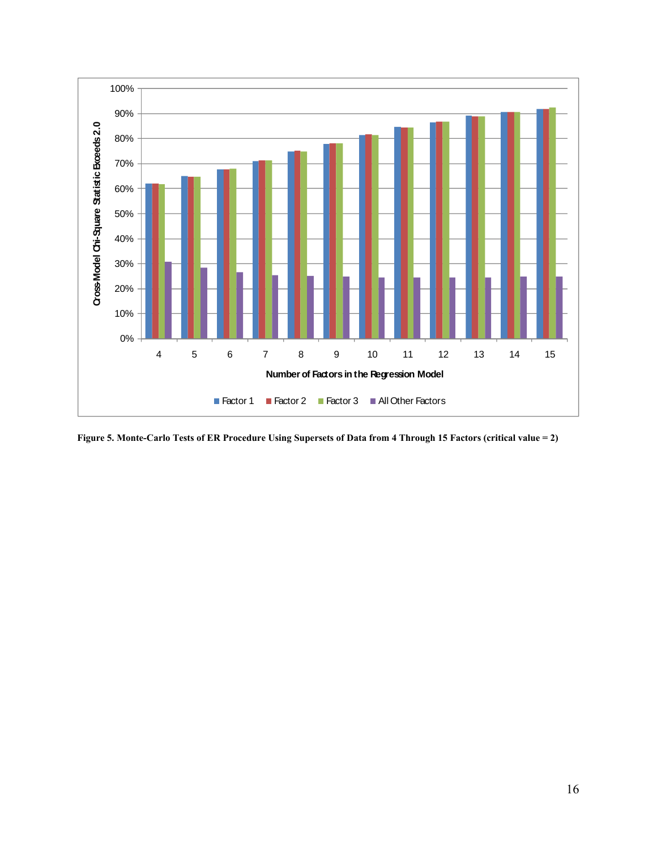

**Figure 5. Monte-Carlo Tests of ER Procedure Using Supersets of Data from 4 Through 15 Factors (critical value = 2)**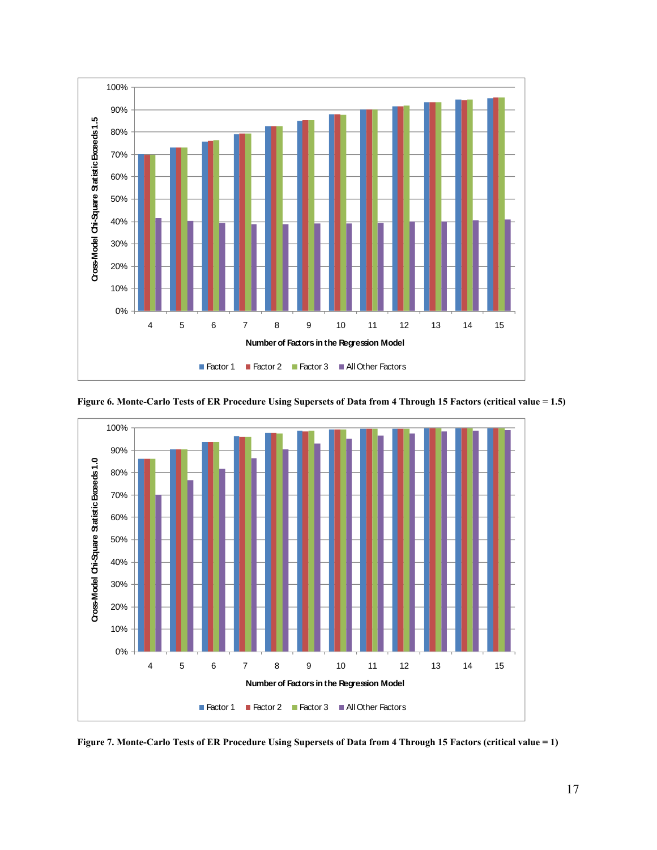



**Figure 6. Monte-Carlo Tests of ER Procedure Using Supersets of Data from 4 Through 15 Factors (critical value = 1.5)** 

**Figure 7. Monte-Carlo Tests of ER Procedure Using Supersets of Data from 4 Through 15 Factors (critical value = 1)**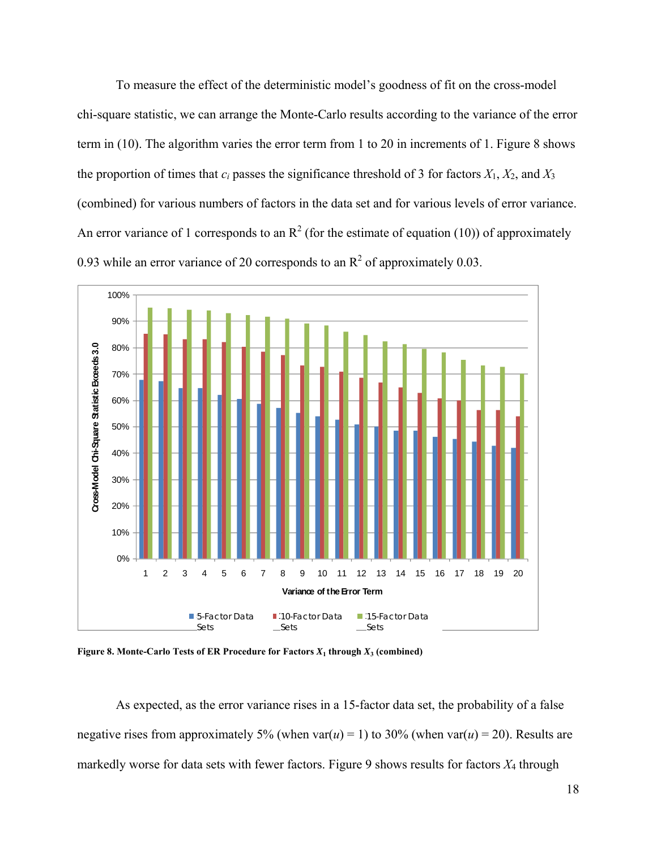To measure the effect of the deterministic model's goodness of fit on the cross-model chi-square statistic, we can arrange the Monte-Carlo results according to the variance of the error term in (10). The algorithm varies the error term from 1 to 20 in increments of 1. Figure 8 shows the proportion of times that  $c_i$  passes the significance threshold of 3 for factors  $X_1, X_2$ , and  $X_3$ (combined) for various numbers of factors in the data set and for various levels of error variance. An error variance of 1 corresponds to an  $\mathbb{R}^2$  (for the estimate of equation (10)) of approximately 0.93 while an error variance of 20 corresponds to an  $\mathbb{R}^2$  of approximately 0.03.



**Figure 8. Monte-Carlo Tests of ER Procedure for Factors**  $X_1$  **through**  $X_3$  **(combined)** 

 As expected, as the error variance rises in a 15-factor data set, the probability of a false negative rises from approximately 5% (when var( $u$ ) = 1) to 30% (when var( $u$ ) = 20). Results are markedly worse for data sets with fewer factors. Figure 9 shows results for factors *X*4 through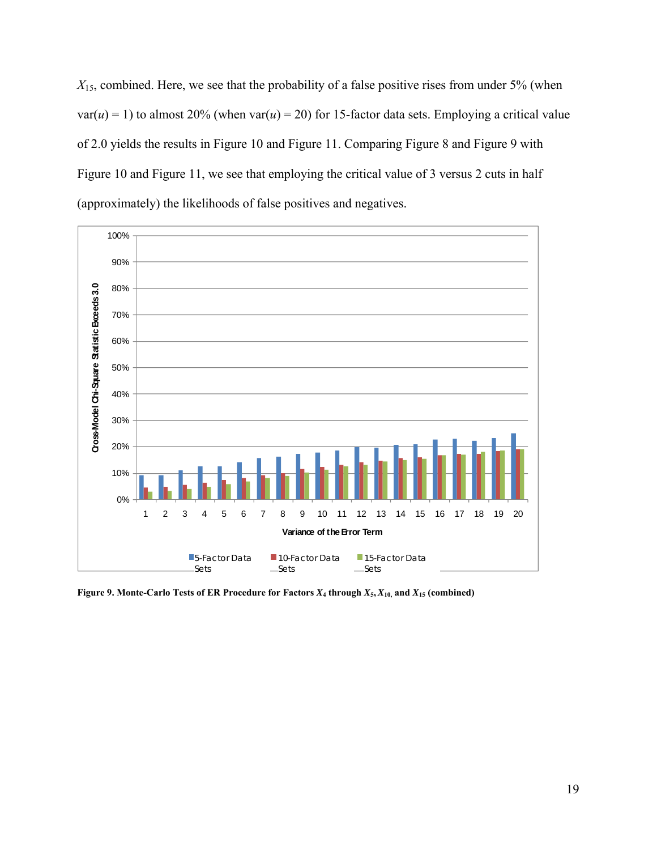*X*15, combined. Here, we see that the probability of a false positive rises from under 5% (when  $var(u) = 1$ ) to almost 20% (when var( $u$ ) = 20) for 15-factor data sets. Employing a critical value of 2.0 yields the results in Figure 10 and Figure 11. Comparing Figure 8 and Figure 9 with Figure 10 and Figure 11, we see that employing the critical value of 3 versus 2 cuts in half (approximately) the likelihoods of false positives and negatives.



**Figure 9. Monte-Carlo Tests of ER Procedure for Factors**  $X_4$  **through**  $X_5$ **,**  $X_{10}$ **, and**  $X_{15}$  **(combined)**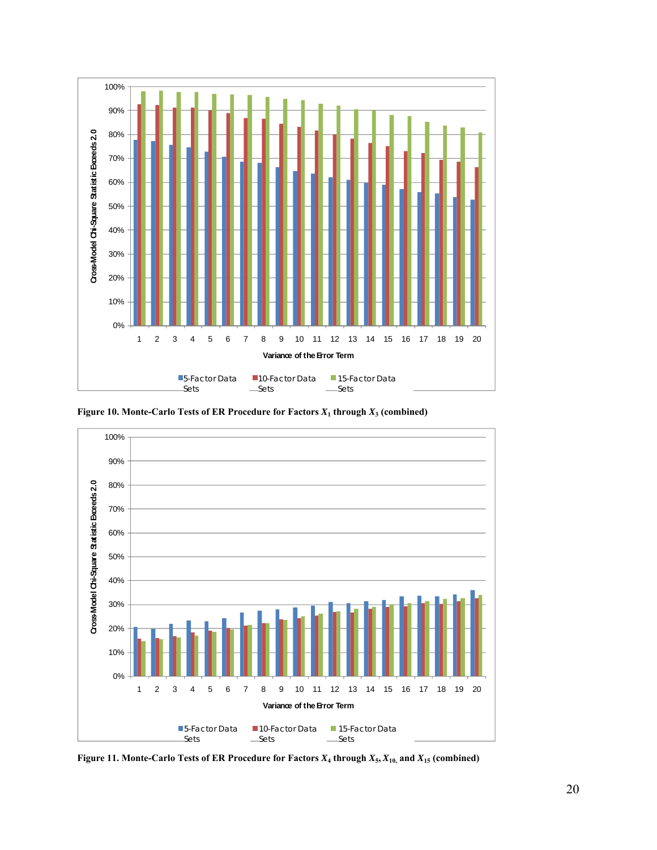

**Figure 10. Monte-Carlo Tests of ER Procedure for Factors**  $X_1$  **through**  $X_3$  **(combined)** 



**Figure 11. Monte-Carlo Tests of ER Procedure for Factors**  $X_4$  **through**  $X_5$ **,**  $X_{10}$ **, and**  $X_{15}$  **(combined)**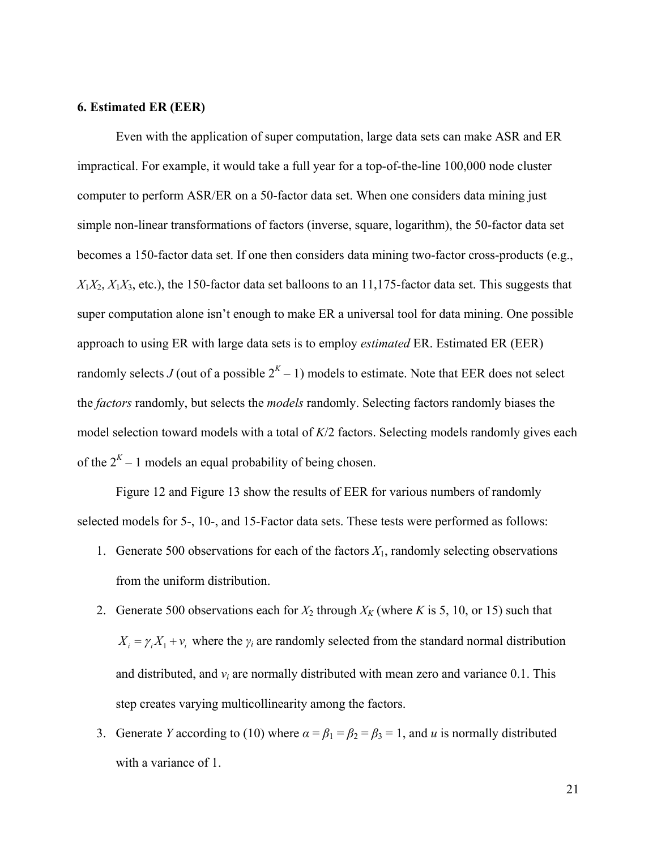#### **6. Estimated ER (EER)**

 Even with the application of super computation, large data sets can make ASR and ER impractical. For example, it would take a full year for a top-of-the-line 100,000 node cluster computer to perform ASR/ER on a 50-factor data set. When one considers data mining just simple non-linear transformations of factors (inverse, square, logarithm), the 50-factor data set becomes a 150-factor data set. If one then considers data mining two-factor cross-products (e.g.,  $X_1X_2, X_1X_3$ , etc.), the 150-factor data set balloons to an 11,175-factor data set. This suggests that super computation alone isn't enough to make ER a universal tool for data mining. One possible approach to using ER with large data sets is to employ *estimated* ER. Estimated ER (EER) randomly selects *J* (out of a possible  $2<sup>K</sup> - 1$ ) models to estimate. Note that EER does not select the *factors* randomly, but selects the *models* randomly. Selecting factors randomly biases the model selection toward models with a total of *K*/2 factors. Selecting models randomly gives each of the  $2^{K}$  – 1 models an equal probability of being chosen.

 Figure 12 and Figure 13 show the results of EER for various numbers of randomly selected models for 5-, 10-, and 15-Factor data sets. These tests were performed as follows:

- 1. Generate 500 observations for each of the factors  $X_1$ , randomly selecting observations from the uniform distribution.
- 2. Generate 500 observations each for  $X_2$  through  $X_K$  (where *K* is 5, 10, or 15) such that  $X_i = \gamma_i X_1 + v_i$  where the  $\gamma_i$  are randomly selected from the standard normal distribution and distributed, and  $v_i$  are normally distributed with mean zero and variance  $0.1$ . This step creates varying multicollinearity among the factors.
- 3. Generate *Y* according to (10) where  $\alpha = \beta_1 = \beta_2 = \beta_3 = 1$ , and *u* is normally distributed with a variance of 1.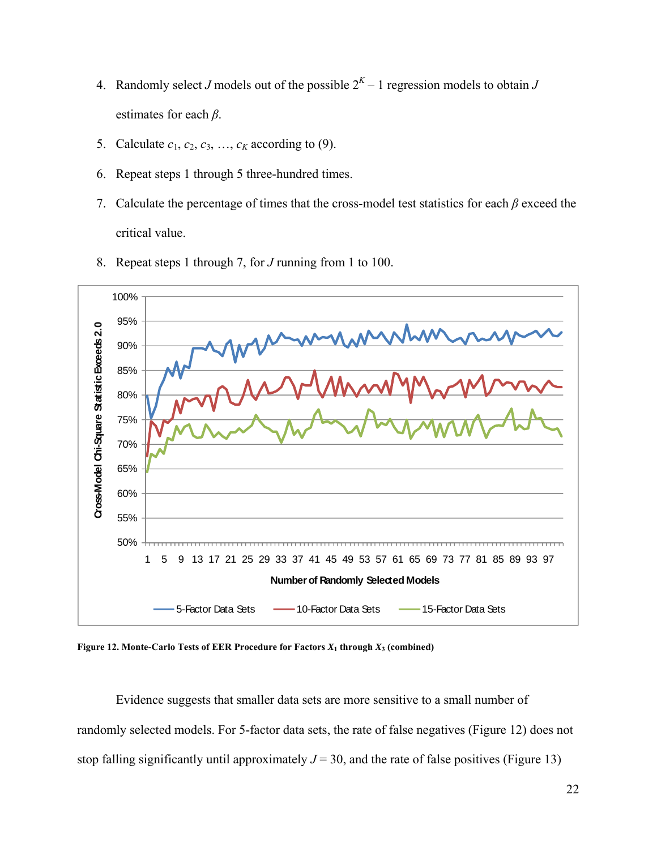- 4. Randomly select *J* models out of the possible  $2<sup>K</sup> 1$  regression models to obtain *J* estimates for each *β*.
- 5. Calculate  $c_1$ ,  $c_2$ ,  $c_3$ , ...,  $c_k$  according to (9).
- 6. Repeat steps 1 through 5 three-hundred times.
- 7. Calculate the percentage of times that the cross-model test statistics for each *β* exceed the critical value.
- 8. Repeat steps 1 through 7, for *J* running from 1 to 100.



**Figure 12. Monte-Carlo Tests of EER Procedure for Factors**  $X_1$  **through**  $X_3$  **(combined)** 

 Evidence suggests that smaller data sets are more sensitive to a small number of randomly selected models. For 5-factor data sets, the rate of false negatives (Figure 12) does not stop falling significantly until approximately  $J = 30$ , and the rate of false positives (Figure 13)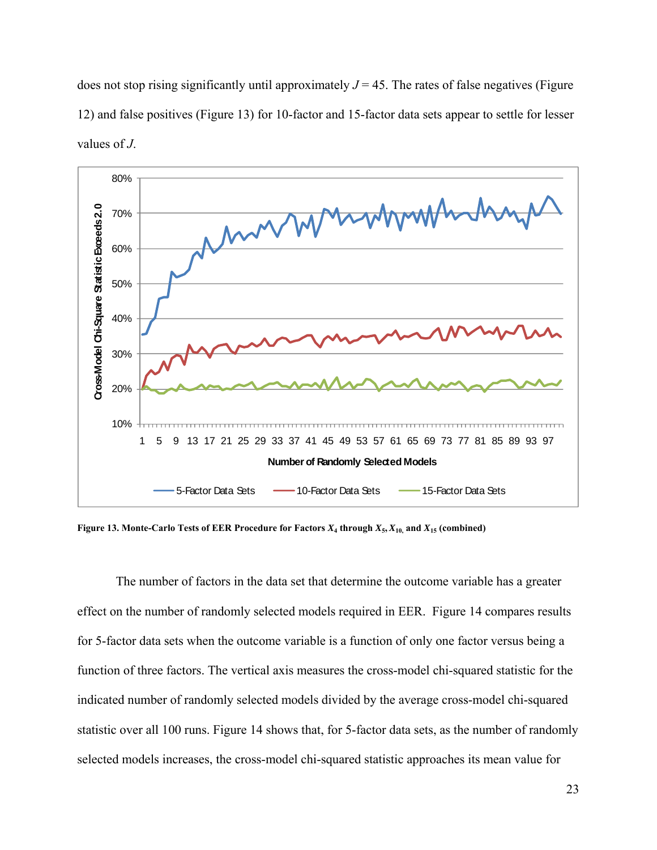does not stop rising significantly until approximately  $J = 45$ . The rates of false negatives (Figure 12) and false positives (Figure 13) for 10-factor and 15-factor data sets appear to settle for lesser values of *J*.



**Figure 13. Monte-Carlo Tests of EER Procedure for Factors**  $X_4$  **through**  $X_5$ **,**  $X_{10}$ **, and**  $X_{15}$  **(combined)** 

 The number of factors in the data set that determine the outcome variable has a greater effect on the number of randomly selected models required in EER. Figure 14 compares results for 5-factor data sets when the outcome variable is a function of only one factor versus being a function of three factors. The vertical axis measures the cross-model chi-squared statistic for the indicated number of randomly selected models divided by the average cross-model chi-squared statistic over all 100 runs. Figure 14 shows that, for 5-factor data sets, as the number of randomly selected models increases, the cross-model chi-squared statistic approaches its mean value for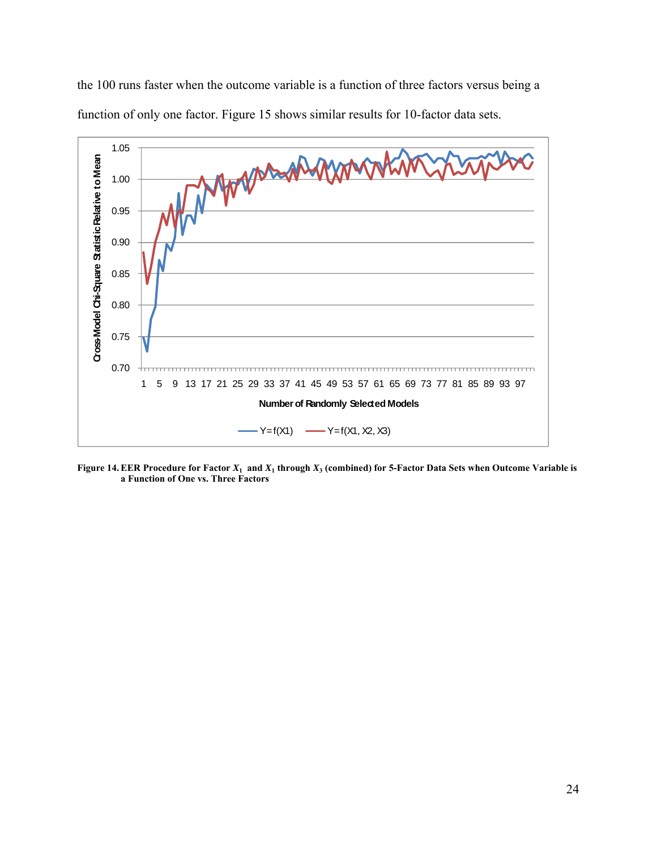

the 100 runs faster when the outcome variable is a function of three factors versus being a function of only one factor. Figure 15 shows similar results for 10-factor data sets.

**Figure 14. EER Procedure for Factor**  $X_1$  **and**  $X_1$  **through**  $X_3$  **(combined) for 5-Factor Data Sets when Outcome Variable is a Function of One vs. Three Factors**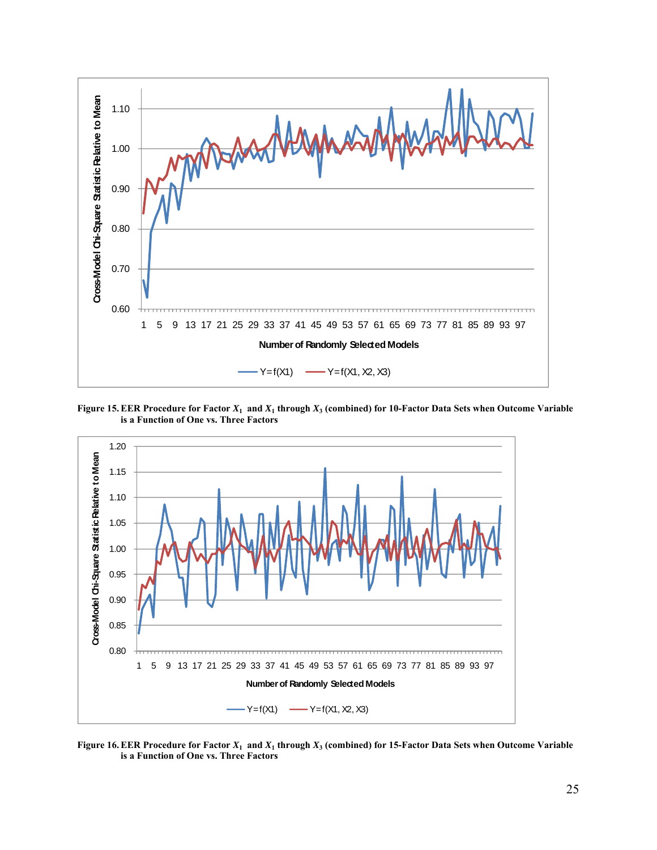

**Figure 15. EER Procedure for Factor**  $X_1$  **and**  $X_1$  **through**  $X_3$  **(combined) for 10-Factor Data Sets when Outcome Variable is a Function of One vs. Three Factors** 



**Figure 16. EER Procedure for Factor**  $X_1$  **and**  $X_1$  **through**  $X_3$  **(combined) for 15-Factor Data Sets when Outcome Variable is a Function of One vs. Three Factors**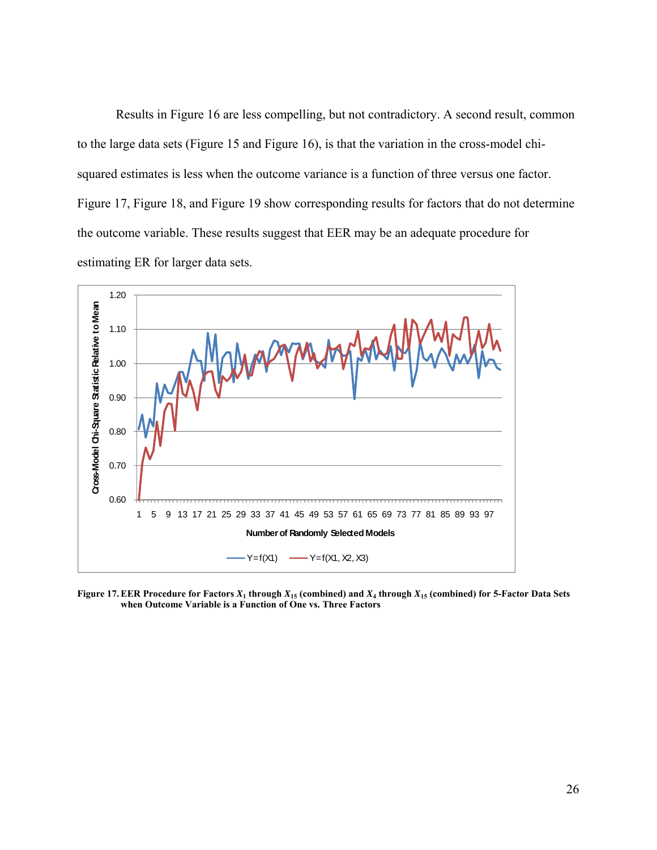Results in Figure 16 are less compelling, but not contradictory. A second result, common to the large data sets (Figure 15 and Figure 16), is that the variation in the cross-model chisquared estimates is less when the outcome variance is a function of three versus one factor. Figure 17, Figure 18, and Figure 19 show corresponding results for factors that do not determine the outcome variable. These results suggest that EER may be an adequate procedure for estimating ER for larger data sets.



**Figure 17. EER Procedure for Factors**  $X_1$  **through**  $X_{15}$  **(combined) and**  $X_4$  **through**  $X_{15}$  **(combined) for 5-Factor Data Sets when Outcome Variable is a Function of One vs. Three Factors**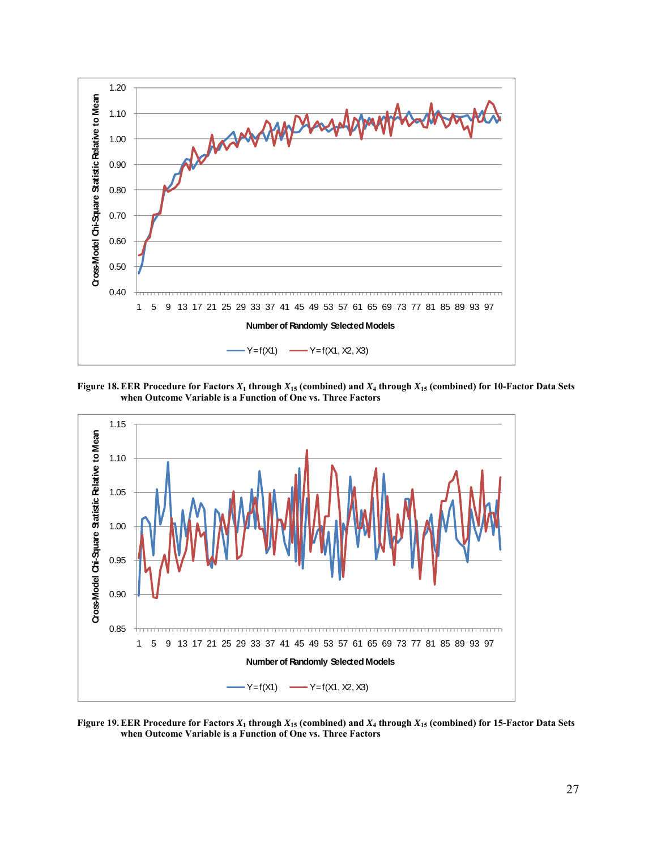

**Figure 18. EER Procedure for Factors**  $X_1$  **through**  $X_{15}$  **(combined) and**  $X_4$  **through**  $X_{15}$  **(combined) for 10-Factor Data Sets when Outcome Variable is a Function of One vs. Three Factors**



**Figure 19. EER Procedure for Factors**  $X_1$  **through**  $X_{15}$  **(combined) and**  $X_4$  **through**  $X_{15}$  **(combined) for 15-Factor Data Sets when Outcome Variable is a Function of One vs. Three Factors**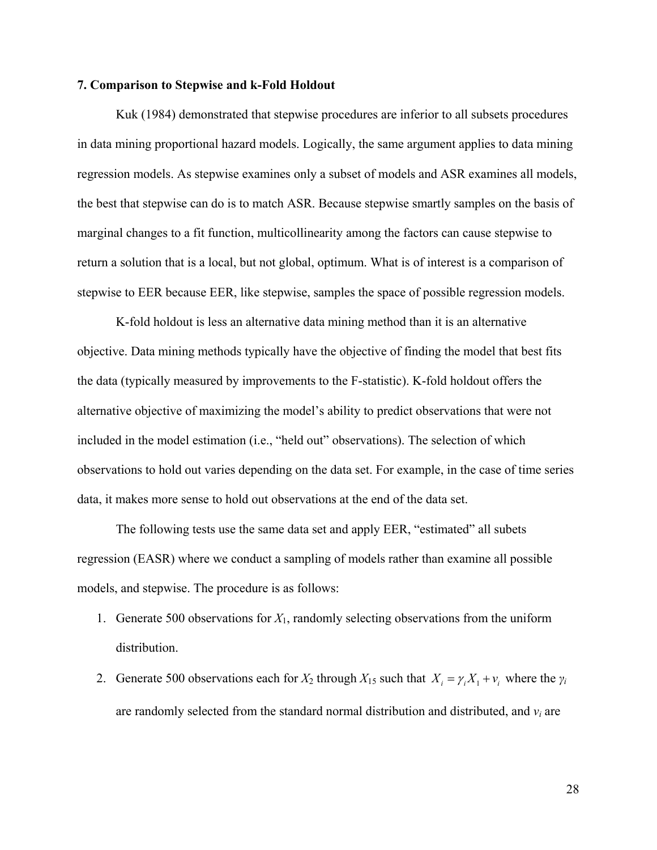### **7. Comparison to Stepwise and k-Fold Holdout**

 Kuk (1984) demonstrated that stepwise procedures are inferior to all subsets procedures in data mining proportional hazard models. Logically, the same argument applies to data mining regression models. As stepwise examines only a subset of models and ASR examines all models, the best that stepwise can do is to match ASR. Because stepwise smartly samples on the basis of marginal changes to a fit function, multicollinearity among the factors can cause stepwise to return a solution that is a local, but not global, optimum. What is of interest is a comparison of stepwise to EER because EER, like stepwise, samples the space of possible regression models.

 K-fold holdout is less an alternative data mining method than it is an alternative objective. Data mining methods typically have the objective of finding the model that best fits the data (typically measured by improvements to the F-statistic). K-fold holdout offers the alternative objective of maximizing the model's ability to predict observations that were not included in the model estimation (i.e., "held out" observations). The selection of which observations to hold out varies depending on the data set. For example, in the case of time series data, it makes more sense to hold out observations at the end of the data set.

 The following tests use the same data set and apply EER, "estimated" all subets regression (EASR) where we conduct a sampling of models rather than examine all possible models, and stepwise. The procedure is as follows:

- 1. Generate 500 observations for *X*1, randomly selecting observations from the uniform distribution.
- 2. Generate 500 observations each for  $X_2$  through  $X_{15}$  such that  $X_i = \gamma_i X_1 + v_i$  where the  $\gamma_i$ are randomly selected from the standard normal distribution and distributed, and *vi* are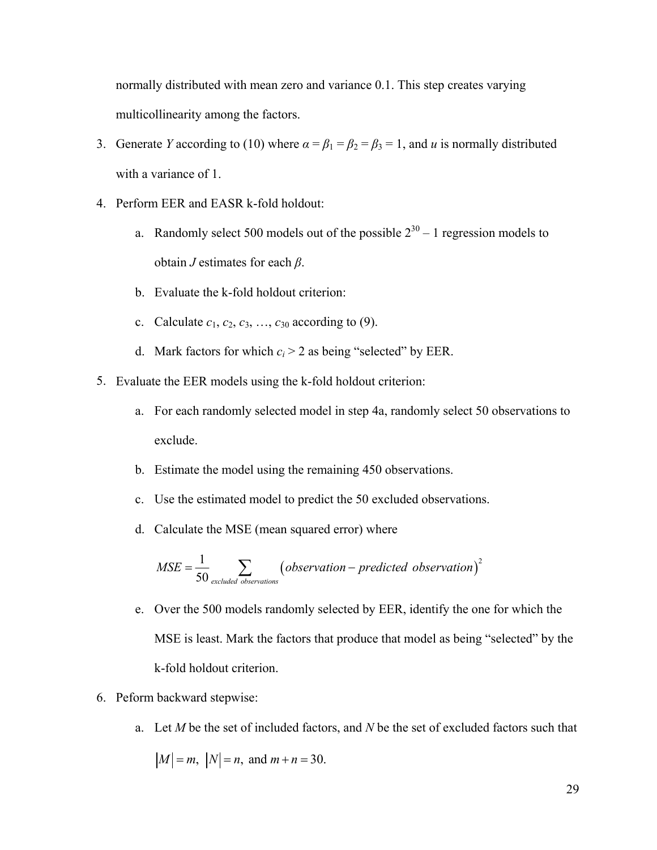normally distributed with mean zero and variance 0.1. This step creates varying multicollinearity among the factors.

- 3. Generate *Y* according to (10) where  $\alpha = \beta_1 = \beta_2 = \beta_3 = 1$ , and *u* is normally distributed with a variance of 1.
- 4. Perform EER and EASR k-fold holdout:
	- a. Randomly select 500 models out of the possible  $2^{30} 1$  regression models to obtain *J* estimates for each *β*.
	- b. Evaluate the k-fold holdout criterion:
	- c. Calculate  $c_1, c_2, c_3, ..., c_{30}$  according to (9).
	- d. Mark factors for which  $c_i > 2$  as being "selected" by EER.
- 5. Evaluate the EER models using the k-fold holdout criterion:
	- a. For each randomly selected model in step 4a, randomly select 50 observations to exclude.
	- b. Estimate the model using the remaining 450 observations.
	- c. Use the estimated model to predict the 50 excluded observations.
	- d. Calculate the MSE (mean squared error) where

$$
MSE = \frac{1}{50} \sum_{\text{excluded observations}} (observation-predicted observation)^2
$$

- e. Over the 500 models randomly selected by EER, identify the one for which the MSE is least. Mark the factors that produce that model as being "selected" by the k-fold holdout criterion.
- 6. Peform backward stepwise:
	- a. Let *M* be the set of included factors, and *N* be the set of excluded factors such that

$$
|M| = m
$$
,  $|N| = n$ , and  $m + n = 30$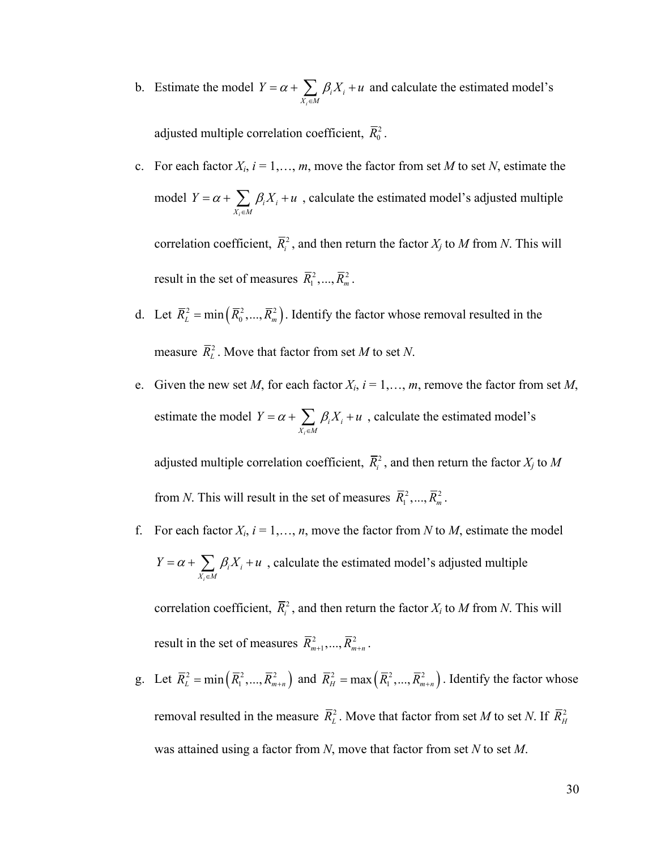b. Estimate the model *i i i*  $X_i \in M$  $Y = \alpha + \sum_i \beta_i X_i + u$  $= \alpha + \sum_{X_i \in M} \beta_i X_i + u$  and calculate the estimated model's

adjusted multiple correlation coefficient,  $\overline{R}_0^2$ .

- c. For each factor  $X_i$ ,  $i = 1, \ldots, m$ , move the factor from set M to set N, estimate the model *i*  $i^{\lambda}$ **i**  $X_i \in M$  $Y = \alpha + \sum_i \beta_i X_i + u$  $= \alpha + \sum_{X_i \in M} \beta_i X_i + u$ , calculate the estimated model's adjusted multiple correlation coefficient,  $\overline{R}_i^2$ , and then return the factor  $X_j$  to M from N. This will result in the set of measures  $\bar{R}_1^2, ..., \bar{R}_m^2$ .
- d. Let  $\overline{R}_{L}^{2} = \min\left( \overline{R}_{0}^{2},..., \overline{R}_{m}^{2} \right)$ . Identify the factor whose removal resulted in the measure  $\overline{R}_{L}^{2}$ . Move that factor from set *M* to set *N*.
- e. Given the new set *M*, for each factor  $X_i$ ,  $i = 1, \ldots, m$ , remove the factor from set *M*, estimate the model *i*  $i^{\mathcal{L} \mathbf{1}}$  $X_i \in M$  $Y = \alpha + \sum_i \beta_i X_i + u$  $= \alpha + \sum_{X_i \in M} \beta_i X_i + u$ , calculate the estimated model's adjusted multiple correlation coefficient,  $\overline{R}_i^2$ , and then return the factor  $X_j$  to  $M$

from *N*. This will result in the set of measures  $\overline{R}_1^2, ..., \overline{R}_m^2$ .

f. For each factor  $X_i$ ,  $i = 1, \ldots, n$ , move the factor from *N* to *M*, estimate the model *i i i*  $X_i \in M$  $Y = \alpha + \sum_i \beta_i X_i + u$  $= \alpha + \sum_{X_i \in M} \beta_i X_i + u$ , calculate the estimated model's adjusted multiple

correlation coefficient,  $\overline{R}_i^2$ , and then return the factor  $X_i$  to  $M$  from  $N$ . This will result in the set of measures  $\bar{R}_{m+1}^2, ..., \bar{R}_{m+n}^2$ .

g. Let  $\overline{R}_{L}^{2} = \min\left(\overline{R}_{1}^{2}, ..., \overline{R}_{m+n}^{2}\right)$  and  $\overline{R}_{H}^{2} = \max\left(\overline{R}_{1}^{2}, ..., \overline{R}_{m+n}^{2}\right)$ . Identify the factor whose removal resulted in the measure  $\overline{R}_L^2$ . Move that factor from set *M* to set *N*. If  $\overline{R}_H^2$ was attained using a factor from *N*, move that factor from set *N* to set *M*.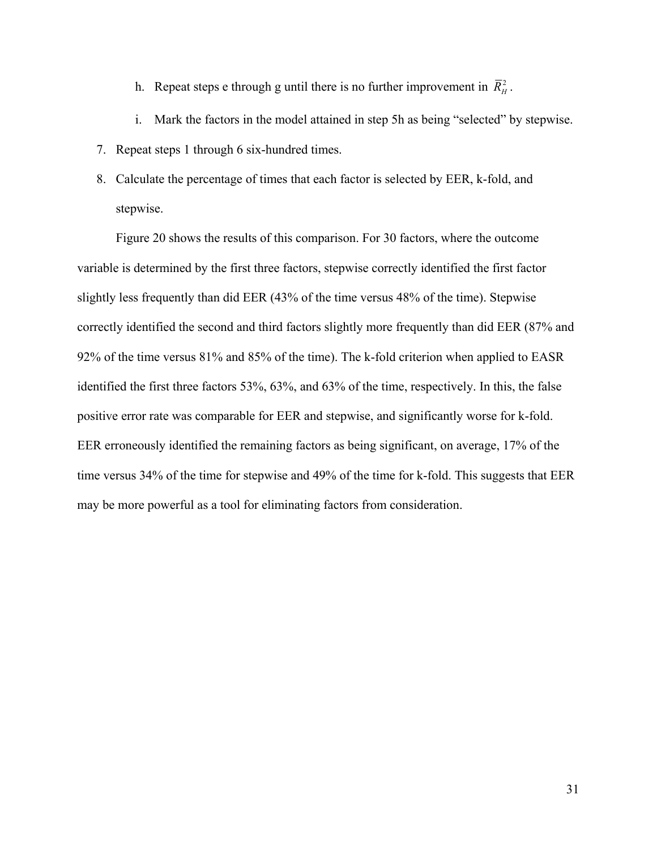- h. Repeat steps e through g until there is no further improvement in  $\overline{R}_{H}^{2}$ .
- i. Mark the factors in the model attained in step 5h as being "selected" by stepwise.
- 7. Repeat steps 1 through 6 six-hundred times.
- 8. Calculate the percentage of times that each factor is selected by EER, k-fold, and stepwise.

 Figure 20 shows the results of this comparison. For 30 factors, where the outcome variable is determined by the first three factors, stepwise correctly identified the first factor slightly less frequently than did EER (43% of the time versus 48% of the time). Stepwise correctly identified the second and third factors slightly more frequently than did EER (87% and 92% of the time versus 81% and 85% of the time). The k-fold criterion when applied to EASR identified the first three factors 53%, 63%, and 63% of the time, respectively. In this, the false positive error rate was comparable for EER and stepwise, and significantly worse for k-fold. EER erroneously identified the remaining factors as being significant, on average, 17% of the time versus 34% of the time for stepwise and 49% of the time for k-fold. This suggests that EER may be more powerful as a tool for eliminating factors from consideration.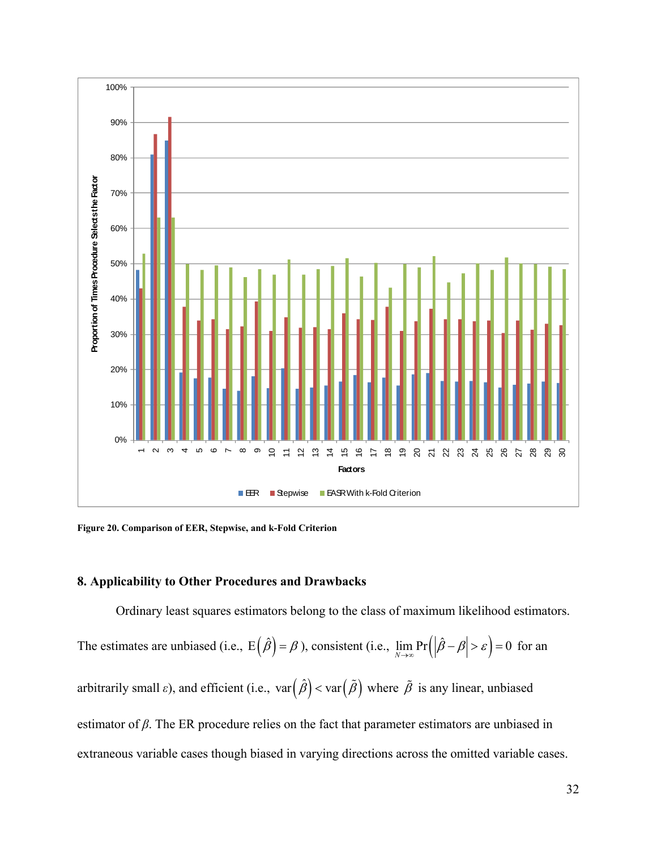

**Figure 20. Comparison of EER, Stepwise, and k-Fold Criterion** 

## **8. Applicability to Other Procedures and Drawbacks**

Ordinary least squares estimators belong to the class of maximum likelihood estimators.

The estimates are unbiased (i.e.,  $E(\hat{\beta}) = \beta$ ), consistent (i.e.,  $\lim_{N \to \infty} Pr(|\hat{\beta} - \beta| > \varepsilon) = 0$  for an arbitrarily small  $\varepsilon$ ), and efficient (i.e.,  $var(\hat{\beta}) < var(\tilde{\beta})$  where  $\tilde{\beta}$  is any linear, unbiased estimator of *β*. The ER procedure relies on the fact that parameter estimators are unbiased in extraneous variable cases though biased in varying directions across the omitted variable cases.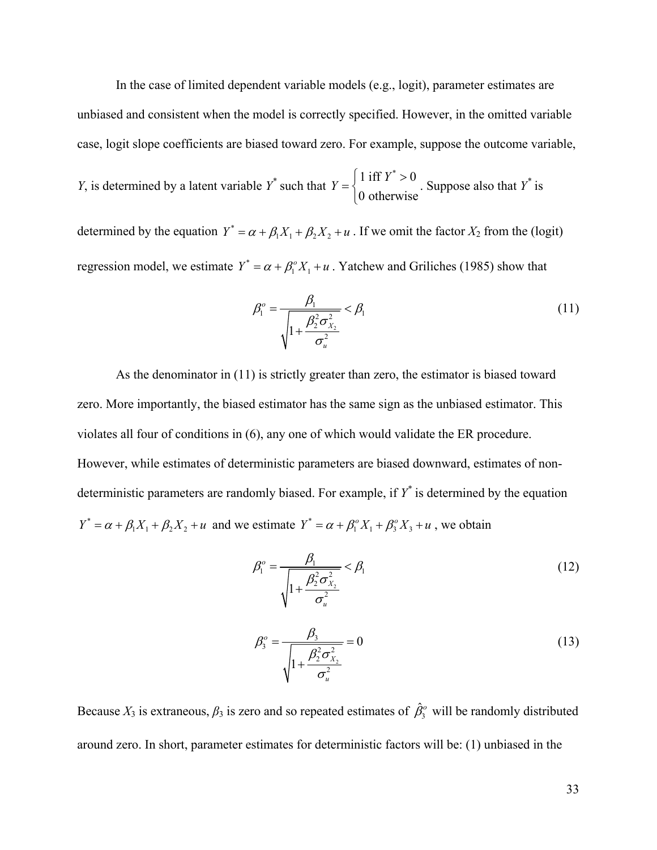In the case of limited dependent variable models (e.g., logit), parameter estimates are unbiased and consistent when the model is correctly specified. However, in the omitted variable case, logit slope coefficients are biased toward zero. For example, suppose the outcome variable,

*Y*, is determined by a latent variable *Y*<sup>\*</sup> such that 
$$
Y = \begin{cases} 1 \text{ iff } Y^* > 0 \\ 0 \text{ otherwise} \end{cases}
$$
. Suppose also that *Y*<sup>\*</sup> is

determined by the equation  $Y^* = \alpha + \beta_1 X_1 + \beta_2 X_2 + u$ . If we omit the factor  $X_2$  from the (logit) regression model, we estimate  $Y^* = \alpha + \beta_1^o X_1 + u$ . Yatchew and Griliches (1985) show that

$$
\beta_1^o = \frac{\beta_1}{\sqrt{1 + \frac{\beta_2^2 \sigma_{X_2}^2}{\sigma_u^2}}} < \beta_1
$$
\n(11)

As the denominator in (11) is strictly greater than zero, the estimator is biased toward zero. More importantly, the biased estimator has the same sign as the unbiased estimator. This violates all four of conditions in (6), any one of which would validate the ER procedure. However, while estimates of deterministic parameters are biased downward, estimates of nondeterministic parameters are randomly biased. For example, if *Y\** is determined by the equation  $Y^* = \alpha + \beta_1 X_1 + \beta_2 X_2 + u$  and we estimate  $Y^* = \alpha + \beta_1^0 X_1 + \beta_2^0 X_2 + u$ , we obtain

$$
\beta_1^o = \frac{\beta_1}{\sqrt{1 + \frac{\beta_2^2 \sigma_{X_2}^2}{\sigma_u^2}}} < \beta_1
$$
\n(12)

$$
\beta_3^o = \frac{\beta_3}{\sqrt{1 + \frac{\beta_2^2 \sigma_{X_2}^2}{\sigma_u^2}}} = 0
$$
\n(13)

Because  $X_3$  is extraneous,  $\beta_3$  is zero and so repeated estimates of  $\hat{\beta}_3^o$  will be randomly distributed around zero. In short, parameter estimates for deterministic factors will be: (1) unbiased in the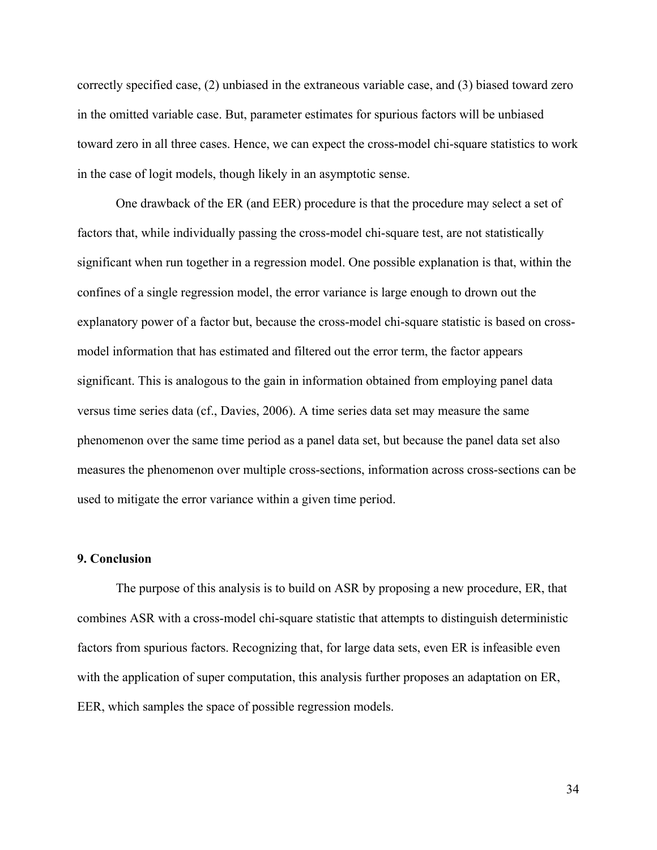correctly specified case, (2) unbiased in the extraneous variable case, and (3) biased toward zero in the omitted variable case. But, parameter estimates for spurious factors will be unbiased toward zero in all three cases. Hence, we can expect the cross-model chi-square statistics to work in the case of logit models, though likely in an asymptotic sense.

 One drawback of the ER (and EER) procedure is that the procedure may select a set of factors that, while individually passing the cross-model chi-square test, are not statistically significant when run together in a regression model. One possible explanation is that, within the confines of a single regression model, the error variance is large enough to drown out the explanatory power of a factor but, because the cross-model chi-square statistic is based on crossmodel information that has estimated and filtered out the error term, the factor appears significant. This is analogous to the gain in information obtained from employing panel data versus time series data (cf., Davies, 2006). A time series data set may measure the same phenomenon over the same time period as a panel data set, but because the panel data set also measures the phenomenon over multiple cross-sections, information across cross-sections can be used to mitigate the error variance within a given time period.

#### **9. Conclusion**

 The purpose of this analysis is to build on ASR by proposing a new procedure, ER, that combines ASR with a cross-model chi-square statistic that attempts to distinguish deterministic factors from spurious factors. Recognizing that, for large data sets, even ER is infeasible even with the application of super computation, this analysis further proposes an adaptation on ER, EER, which samples the space of possible regression models.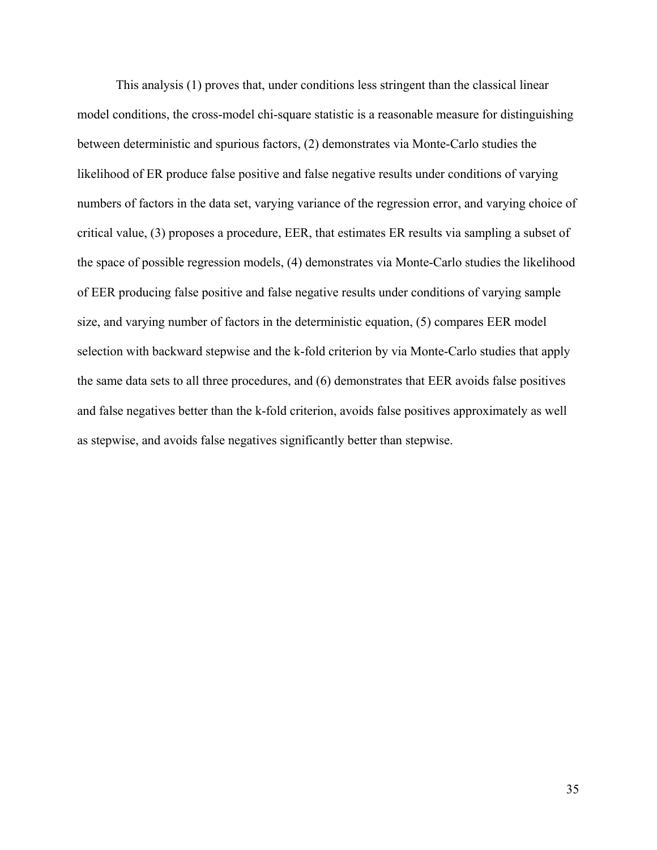This analysis (1) proves that, under conditions less stringent than the classical linear model conditions, the cross-model chi-square statistic is a reasonable measure for distinguishing between deterministic and spurious factors, (2) demonstrates via Monte-Carlo studies the likelihood of ER produce false positive and false negative results under conditions of varying numbers of factors in the data set, varying variance of the regression error, and varying choice of critical value, (3) proposes a procedure, EER, that estimates ER results via sampling a subset of the space of possible regression models, (4) demonstrates via Monte-Carlo studies the likelihood of EER producing false positive and false negative results under conditions of varying sample size, and varying number of factors in the deterministic equation, (5) compares EER model selection with backward stepwise and the k-fold criterion by via Monte-Carlo studies that apply the same data sets to all three procedures, and (6) demonstrates that EER avoids false positives and false negatives better than the k-fold criterion, avoids false positives approximately as well as stepwise, and avoids false negatives significantly better than stepwise.